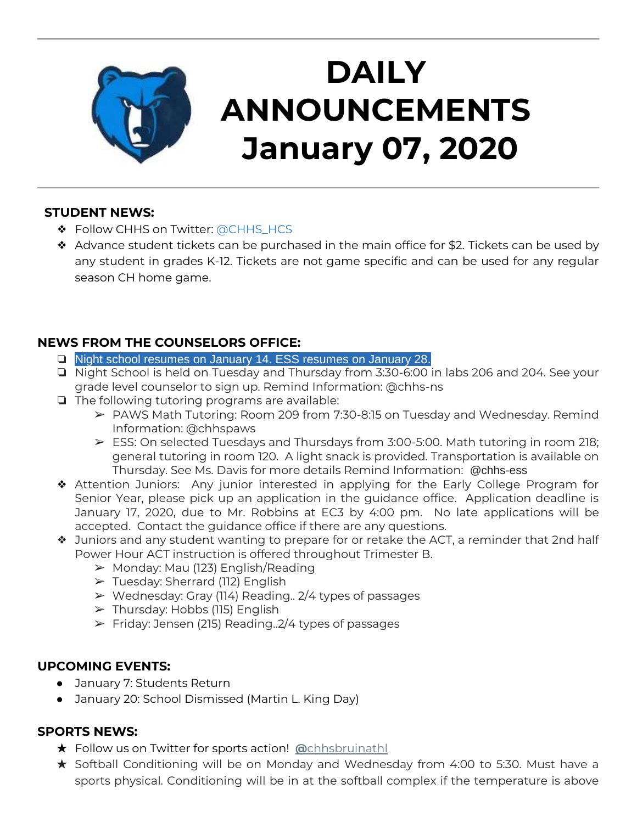

# **DAILY ANNOUNCEMENTS January 07, 2020**

### **STUDENT NEWS:**

- ❖ Follow CHHS on Twitter: [@CHHS\\_HCS](https://twitter.com/CHHS_HCS)
- ❖ Advance student tickets can be purchased in the main office for \$2. Tickets can be used by any student in grades K-12. Tickets are not game specific and can be used for any regular season CH home game.

# **NEWS FROM THE COUNSELORS OFFICE:**

- ❏ Night school resumes on January 14. ESS resumes on January 28.
- ❏ Night School is held on Tuesday and Thursday from 3:30-6:00 in labs 206 and 204. See your grade level counselor to sign up. Remind Information: @chhs-ns
- ❏ The following tutoring programs are available:
	- ➢ PAWS Math Tutoring: Room 209 from 7:30-8:15 on Tuesday and Wednesday. Remind Information: @chhspaws
	- $\triangleright$  ESS: On selected Tuesdays and Thursdays from 3:00-5:00. Math tutoring in room 218; general tutoring in room 120. A light snack is provided. Transportation is available on Thursday. See Ms. Davis for more details Remind Information: @chhs-ess
- ❖ Attention Juniors: Any junior interested in applying for the Early College Program for Senior Year, please pick up an application in the guidance office. Application deadline is January 17, 2020, due to Mr. Robbins at EC3 by 4:00 pm. No late applications will be accepted. Contact the guidance office if there are any questions.
- ❖ Juniors and any student wanting to prepare for or retake the ACT, a reminder that 2nd half Power Hour ACT instruction is offered throughout Trimester B.
	- $\triangleright$  Monday: Mau (123) English/Reading
	- ➢ Tuesday: Sherrard (112) English
	- $\triangleright$  Wednesday: Gray (114) Reading.. 2/4 types of passages
	- $\triangleright$  Thursday: Hobbs (115) English
	- $\triangleright$  Friday: Jensen (215) Reading..2/4 types of passages

# **UPCOMING EVENTS:**

- January 7: Students Return
- January 20: School Dismissed (Martin L. King Day)

# **SPORTS NEWS:**

- ★ Follow us on Twitter for sports action! **[@](https://twitter.com/chhsbruinathl)**[chhsbruinathl](https://twitter.com/chhsbruinathl)
- ★ Softball Conditioning will be on Monday and Wednesday from 4:00 to 5:30. Must have a sports physical. Conditioning will be in at the softball complex if the temperature is above